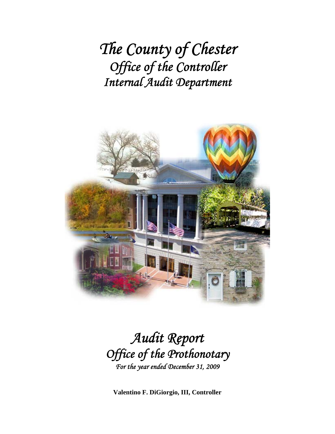*The County of Chester Office of the Controller Internal Audit Department*



## *Audit Report Office of the Prothonotary For the year ended December 31, 2009*

**Valentino F. DiGiorgio, III, Controller**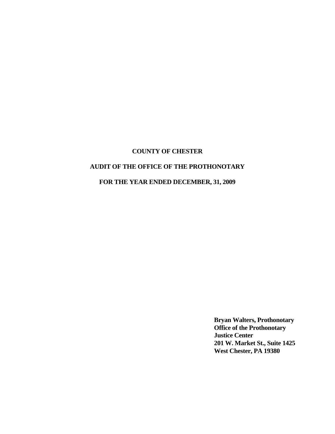## **AUDIT OF THE OFFICE OF THE PROTHONOTARY**

## **FOR THE YEAR ENDED DECEMBER, 31, 2009**

**Bryan Walters, Prothonotary Office of the Prothonotary Justice Center 201 W. Market St., Suite 1425 West Chester, PA 19380**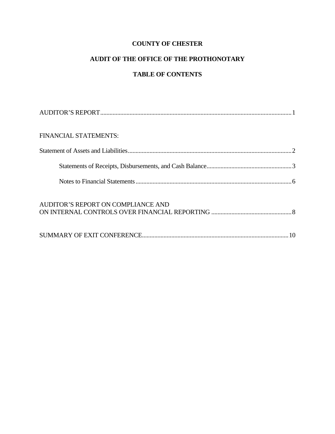## **AUDIT OF THE OFFICE OF THE PROTHONOTARY**

## **TABLE OF CONTENTS**

| <b>FINANCIAL STATEMENTS:</b>       |  |
|------------------------------------|--|
|                                    |  |
|                                    |  |
|                                    |  |
| AUDITOR'S REPORT ON COMPLIANCE AND |  |
|                                    |  |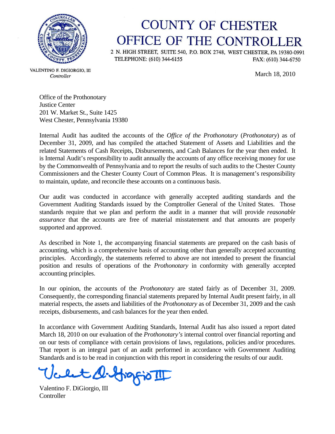

## **COUNTY OF CHESTER** OFFICE OF THE CONTROLLER

2 N. HIGH STREET, SUITE 540, P.O. BOX 2748, WEST CHESTER, PA 19380-0991 TELEPHONE: (610) 344-6155 FAX: (610) 344-6750

VALENTINO F. DIGIORGIO, III Controller

March 18, 2010

Office of the Prothonotary Justice Center 201 W. Market St., Suite 1425 West Chester, Pennsylvania 19380

Internal Audit has audited the accounts of the *Office of the Prothonotary* (*Prothonotary*) as of December 31, 2009, and has compiled the attached Statement of Assets and Liabilities and the related Statements of Cash Receipts, Disbursements, and Cash Balances for the year then ended. It is Internal Audit's responsibility to audit annually the accounts of any office receiving money for use by the Commonwealth of Pennsylvania and to report the results of such audits to the Chester County Commissioners and the Chester County Court of Common Pleas. It is management's responsibility to maintain, update, and reconcile these accounts on a continuous basis.

Our audit was conducted in accordance with generally accepted auditing standards and the Government Auditing Standards issued by the Comptroller General of the United States. Those standards require that we plan and perform the audit in a manner that will provide *reasonable assurance* that the accounts are free of material misstatement and that amounts are properly supported and approved.

As described in Note 1, the accompanying financial statements are prepared on the cash basis of accounting, which is a comprehensive basis of accounting other than generally accepted accounting principles. Accordingly, the statements referred to above are not intended to present the financial position and results of operations of the *Prothonotary* in conformity with generally accepted accounting principles.

In our opinion, the accounts of the *Prothonotary* are stated fairly as of December 31, 2009. Consequently, the corresponding financial statements prepared by Internal Audit present fairly, in all material respects, the assets and liabilities of the *Prothonotary* as of December 31, 2009 and the cash receipts, disbursements, and cash balances for the year then ended.

In accordance with Government Auditing Standards, Internal Audit has also issued a report dated March 18, 2010 on our evaluation of the *Prothonotary's* internal control over financial reporting and on our tests of compliance with certain provisions of laws, regulations, policies and/or procedures. That report is an integral part of an audit performed in accordance with Government Auditing Standards and is to be read in conjunction with this report in considering the results of our audit.

Velt A. Hogfio II

**Controller**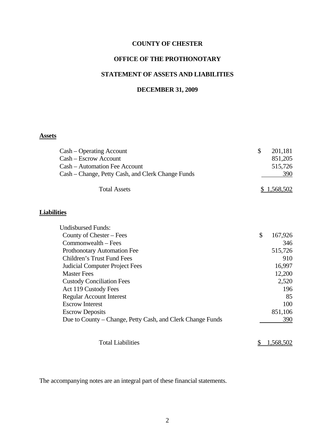## **OFFICE OF THE PROTHONOTARY**

#### **STATEMENT OF ASSETS AND LIABILITIES**

#### **DECEMBER 31, 2009**

## **Assets**

| Cash – Operating Account                                   | \$<br>201,181 |
|------------------------------------------------------------|---------------|
| Cash - Escrow Account                                      | 851,205       |
| Cash – Automation Fee Account                              | 515,726       |
| Cash – Change, Petty Cash, and Clerk Change Funds          | 390           |
| <b>Total Assets</b>                                        | \$1,568,502   |
| <b>Liabilities</b>                                         |               |
| <b>Undisbursed Funds:</b>                                  |               |
| County of Chester – Fees                                   | \$<br>167,926 |
| Commonwealth – Fees                                        | 346           |
| Prothonotary Automation Fee                                | 515,726       |
| Children's Trust Fund Fees                                 | 910           |
| <b>Judicial Computer Project Fees</b>                      | 16,997        |
| <b>Master Fees</b>                                         | 12,200        |
| <b>Custody Conciliation Fees</b>                           | 2,520         |
| Act 119 Custody Fees                                       | 196           |
| <b>Regular Account Interest</b>                            | 85            |
| <b>Escrow Interest</b>                                     | 100           |
| <b>Escrow Deposits</b>                                     | 851,106       |
|                                                            | 390           |
| Due to County – Change, Petty Cash, and Clerk Change Funds |               |

Total Liabilities  $\frac{$1,568,502}{2}$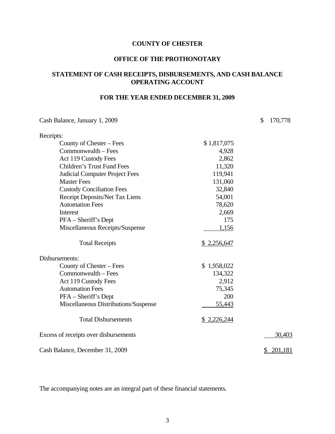#### **OFFICE OF THE PROTHONOTARY**

## **STATEMENT OF CASH RECEIPTS, DISBURSEMENTS, AND CASH BALANCE OPERATING ACCOUNT**

## **FOR THE YEAR ENDED DECEMBER 31, 2009**

Cash Balance, January 1, 2009 \$ 170,778

| Receipts:                             |             |               |
|---------------------------------------|-------------|---------------|
| County of Chester – Fees              | \$1,817,075 |               |
| Commonwealth – Fees                   | 4,928       |               |
| Act 119 Custody Fees                  | 2,862       |               |
| <b>Children's Trust Fund Fees</b>     | 11,320      |               |
| <b>Judicial Computer Project Fees</b> | 119,941     |               |
| <b>Master Fees</b>                    | 131,060     |               |
| <b>Custody Conciliation Fees</b>      | 32,840      |               |
| Receipt Deposits/Net Tax Liens        | 54,001      |               |
| <b>Automation Fees</b>                | 78,620      |               |
| Interest                              | 2,669       |               |
| PFA – Sheriff's Dept                  | 175         |               |
| Miscellaneous Receipts/Suspense       | 1,156       |               |
| <b>Total Receipts</b>                 | \$2,256,647 |               |
| Disbursements:                        |             |               |
| County of Chester – Fees              | \$1,958,022 |               |
| Commonwealth – Fees                   | 134,322     |               |
| Act 119 Custody Fees                  | 2,912       |               |
| <b>Automation Fees</b>                | 75,345      |               |
| PFA - Sheriff's Dept                  | 200         |               |
| Miscellaneous Distributions/Suspense  | 55,443      |               |
| <b>Total Disbursements</b>            | \$2,226,244 |               |
| Excess of receipts over disbursements |             | 30,403        |
| Cash Balance, December 31, 2009       |             | 201,181<br>\$ |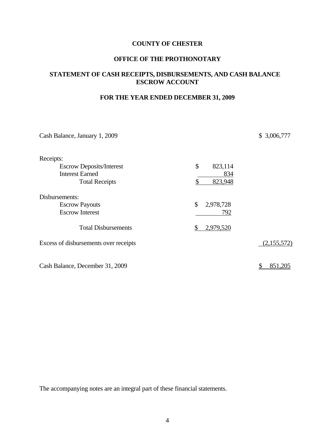#### **OFFICE OF THE PROTHONOTARY**

#### **STATEMENT OF CASH RECEIPTS, DISBURSEMENTS, AND CASH BALANCE ESCROW ACCOUNT**

## **FOR THE YEAR ENDED DECEMBER 31, 2009**

| Cash Balance, January 1, 2009         |                 | \$3,006,777 |
|---------------------------------------|-----------------|-------------|
| Receipts:                             |                 |             |
| <b>Escrow Deposits/Interest</b>       | \$<br>823,114   |             |
| <b>Interest Earned</b>                | 834             |             |
| <b>Total Receipts</b>                 | 823,948<br>\$   |             |
| Disbursements:                        |                 |             |
| <b>Escrow Payouts</b>                 | \$<br>2,978,728 |             |
| <b>Escrow Interest</b>                | 792             |             |
| <b>Total Disbursements</b>            | 2,979,520<br>\$ |             |
| Excess of disbursements over receipts |                 | (2,155,572) |
| Cash Balance, December 31, 2009       |                 | 851,205     |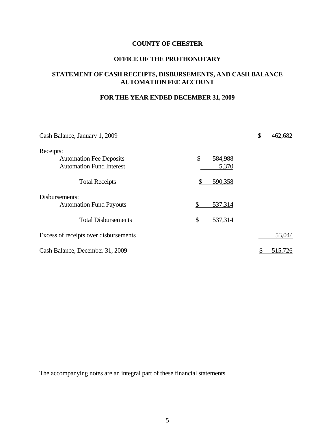#### **OFFICE OF THE PROTHONOTARY**

#### **STATEMENT OF CASH RECEIPTS, DISBURSEMENTS, AND CASH BALANCE AUTOMATION FEE ACCOUNT**

## **FOR THE YEAR ENDED DECEMBER 31, 2009**

| Cash Balance, January 1, 2009         |               | \$<br>462,682 |
|---------------------------------------|---------------|---------------|
| Receipts:                             |               |               |
| <b>Automation Fee Deposits</b>        | \$<br>584,988 |               |
| <b>Automation Fund Interest</b>       | 5,370         |               |
| <b>Total Receipts</b>                 | 590,358<br>\$ |               |
| Disbursements:                        |               |               |
| <b>Automation Fund Payouts</b>        | \$<br>537,314 |               |
| <b>Total Disbursements</b>            | \$<br>537,314 |               |
| Excess of receipts over disbursements |               | 53,044        |
| Cash Balance, December 31, 2009       |               | 515,726       |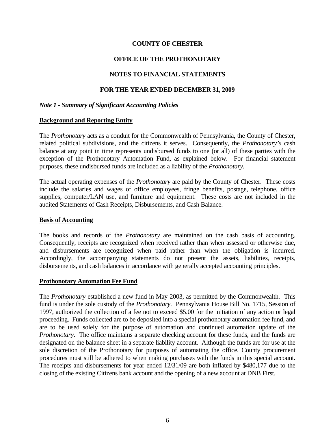### **OFFICE OF THE PROTHONOTARY**

#### **NOTES TO FINANCIAL STATEMENTS**

#### **FOR THE YEAR ENDED DECEMBER 31, 2009**

#### *Note 1 - Summary of Significant Accounting Policies*

#### **Background and Reporting Entity**

The *Prothonotary* acts as a conduit for the Commonwealth of Pennsylvania, the County of Chester, related political subdivisions, and the citizens it serves. Consequently, the *Prothonotary's* cash balance at any point in time represents undisbursed funds to one (or all) of these parties with the exception of the Prothonotary Automation Fund, as explained below. For financial statement purposes, these undisbursed funds are included as a liability of the *Prothonotary.*

The actual operating expenses of the *Prothonotary* are paid by the County of Chester. These costs include the salaries and wages of office employees, fringe benefits, postage, telephone, office supplies, computer/LAN use, and furniture and equipment. These costs are not included in the audited Statements of Cash Receipts, Disbursements, and Cash Balance.

#### **Basis of Accounting**

The books and records of the *Prothonotary* are maintained on the cash basis of accounting. Consequently, receipts are recognized when received rather than when assessed or otherwise due, and disbursements are recognized when paid rather than when the obligation is incurred. Accordingly, the accompanying statements do not present the assets, liabilities, receipts, disbursements, and cash balances in accordance with generally accepted accounting principles.

#### **Prothonotary Automation Fee Fund**

The *Prothonotary* established a new fund in May 2003, as permitted by the Commonwealth. This fund is under the sole custody of the *Prothonotary*. Pennsylvania House Bill No. 1715, Session of 1997, authorized the collection of a fee not to exceed \$5.00 for the initiation of any action or legal proceeding. Funds collected are to be deposited into a special prothonotary automation fee fund, and are to be used solely for the purpose of automation and continued automation update of the *Prothonotary*. The office maintains a separate checking account for these funds, and the funds are designated on the balance sheet in a separate liability account. Although the funds are for use at the sole discretion of the Prothonotary for purposes of automating the office, County procurement procedures must still be adhered to when making purchases with the funds in this special account. The receipts and disbursements for year ended 12/31/09 are both inflated by \$480,177 due to the closing of the existing Citizens bank account and the opening of a new account at DNB First.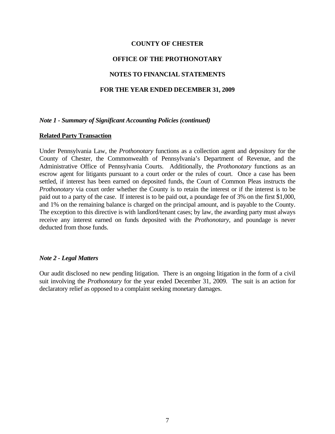#### **OFFICE OF THE PROTHONOTARY**

#### **NOTES TO FINANCIAL STATEMENTS**

#### **FOR THE YEAR ENDED DECEMBER 31, 2009**

#### *Note 1 - Summary of Significant Accounting Policies (continued)*

#### **Related Party Transaction**

Under Pennsylvania Law, the *Prothonotary* functions as a collection agent and depository for the County of Chester, the Commonwealth of Pennsylvania's Department of Revenue, and the Administrative Office of Pennsylvania Courts. Additionally, the *Prothonotary* functions as an escrow agent for litigants pursuant to a court order or the rules of court. Once a case has been settled, if interest has been earned on deposited funds, the Court of Common Pleas instructs the *Prothonotary* via court order whether the County is to retain the interest or if the interest is to be paid out to a party of the case. If interest is to be paid out, a poundage fee of 3% on the first \$1,000, and 1% on the remaining balance is charged on the principal amount, and is payable to the County. The exception to this directive is with landlord/tenant cases; by law, the awarding party must always receive any interest earned on funds deposited with the *Prothonotary*, and poundage is never deducted from those funds.

#### *Note 2 - Legal Matters*

Our audit disclosed no new pending litigation. There is an ongoing litigation in the form of a civil suit involving the *Prothonotary* for the year ended December 31, 2009. The suit is an action for declaratory relief as opposed to a complaint seeking monetary damages.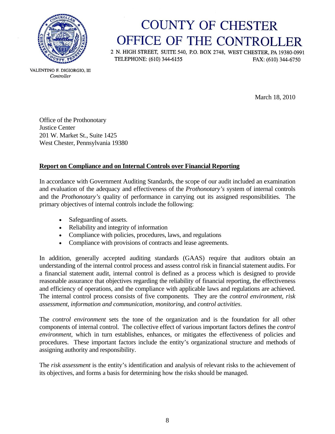

# **COUNTY OF CHESTER** OFFICE OF THE CONTROLLER

2 N. HIGH STREET, SUITE 540, P.O. BOX 2748, WEST CHESTER, PA 19380-0991 TELEPHONE: (610) 344-6155 FAX: (610) 344-6750

VALENTINO F. DIGIORGIO. III Controller

March 18, 2010

Office of the Prothonotary Justice Center 201 W. Market St., Suite 1425 West Chester, Pennsylvania 19380

## **Report on Compliance and on Internal Controls over Financial Reporting**

In accordance with Government Auditing Standards, the scope of our audit included an examination and evaluation of the adequacy and effectiveness of the *Prothonotary's* system of internal controls and the *Prothonotary's* quality of performance in carrying out its assigned responsibilities. The primary objectives of internal controls include the following:

- Safeguarding of assets.
- Reliability and integrity of information
- Compliance with policies, procedures, laws, and regulations
- Compliance with provisions of contracts and lease agreements.

In addition, generally accepted auditing standards (GAAS) require that auditors obtain an understanding of the internal control process and assess control risk in financial statement audits. For a financial statement audit, internal control is defined as a process which is designed to provide reasonable assurance that objectives regarding the reliability of financial reporting, the effectiveness and efficiency of operations, and the compliance with applicable laws and regulations are achieved. The internal control process consists of five components. They are the *control environment*, *risk assessment*, *information and communication*, *monitoring*, and *control activities*.

The *control environment* sets the tone of the organization and is the foundation for all other components of internal control. The collective effect of various important factors defines the *control environment*, which in turn establishes, enhances, or mitigates the effectiveness of policies and procedures. These important factors include the entity's organizational structure and methods of assigning authority and responsibility.

The *risk assessment* is the entity's identification and analysis of relevant risks to the achievement of its objectives, and forms a basis for determining how the risks should be managed.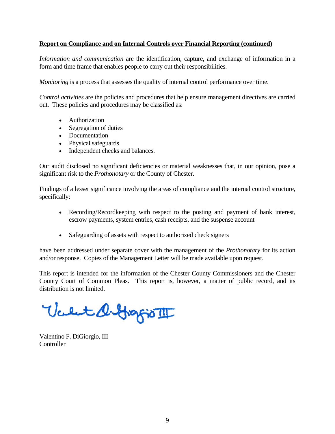## **Report on Compliance and on Internal Controls over Financial Reporting (continued)**

*Information and communication* are the identification, capture, and exchange of information in a form and time frame that enables people to carry out their responsibilities.

*Monitoring* is a process that assesses the quality of internal control performance over time.

*Control activities* are the policies and procedures that help ensure management directives are carried out. These policies and procedures may be classified as:

- Authorization
- Segregation of duties
- Documentation
- Physical safeguards
- Independent checks and balances.

Our audit disclosed no significant deficiencies or material weaknesses that, in our opinion, pose a significant risk to the *Prothonotary* or the County of Chester.

Findings of a lesser significance involving the areas of compliance and the internal control structure, specifically:

- Recording/Recordkeeping with respect to the posting and payment of bank interest, escrow payments, system entries, cash receipts, and the suspense account
- Safeguarding of assets with respect to authorized check signers

have been addressed under separate cover with the management of the *Prothonotary* for its action and/or response. Copies of the Management Letter will be made available upon request.

This report is intended for the information of the Chester County Commissioners and the Chester County Court of Common Pleas. This report is, however, a matter of public record, and its distribution is not limited.

Valet O. Gragio III

Valentino F. DiGiorgio, III Controller